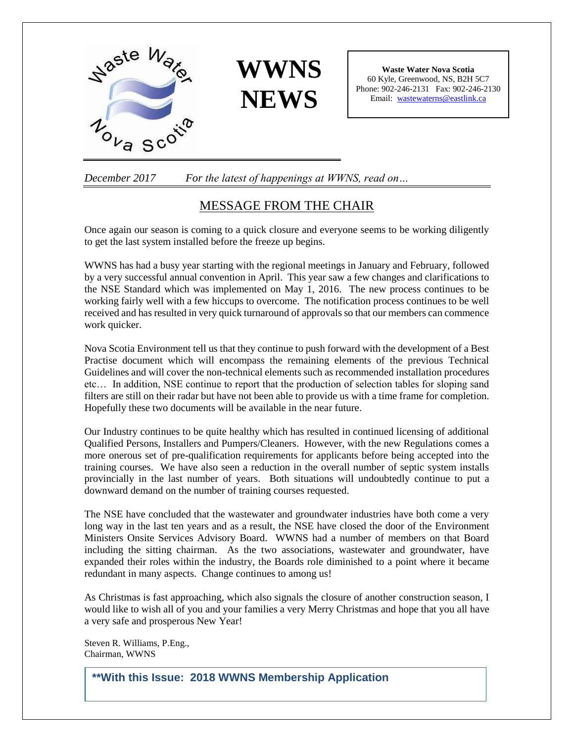



**Waste Water Nova Scotia** 60 Kyle, Greenwood, NS, B2H 5C7 Phone: 902-246-2131 Fax: 902-246-2130 Email: [wastewaterns@eastlink.ca](mailto:wastewaterns@eastlink.ca)

*December 2017 For the latest of happenings at WWNS, read on…*

## MESSAGE FROM THE CHAIR

Once again our season is coming to a quick closure and everyone seems to be working diligently to get the last system installed before the freeze up begins.

WWNS has had a busy year starting with the regional meetings in January and February, followed by a very successful annual convention in April. This year saw a few changes and clarifications to the NSE Standard which was implemented on May 1, 2016. The new process continues to be working fairly well with a few hiccups to overcome. The notification process continues to be well received and has resulted in very quick turnaround of approvals so that our members can commence work quicker.

Nova Scotia Environment tell us that they continue to push forward with the development of a Best Practise document which will encompass the remaining elements of the previous Technical Guidelines and will cover the non-technical elements such as recommended installation procedures etc… In addition, NSE continue to report that the production of selection tables for sloping sand filters are still on their radar but have not been able to provide us with a time frame for completion. Hopefully these two documents will be available in the near future.

Our Industry continues to be quite healthy which has resulted in continued licensing of additional Qualified Persons, Installers and Pumpers/Cleaners. However, with the new Regulations comes a more onerous set of pre-qualification requirements for applicants before being accepted into the training courses. We have also seen a reduction in the overall number of septic system installs provincially in the last number of years. Both situations will undoubtedly continue to put a downward demand on the number of training courses requested.

The NSE have concluded that the wastewater and groundwater industries have both come a very long way in the last ten years and as a result, the NSE have closed the door of the Environment Ministers Onsite Services Advisory Board. WWNS had a number of members on that Board including the sitting chairman. As the two associations, wastewater and groundwater, have expanded their roles within the industry, the Boards role diminished to a point where it became redundant in many aspects. Change continues to among us!

As Christmas is fast approaching, which also signals the closure of another construction season, I would like to wish all of you and your families a very Merry Christmas and hope that you all have a very safe and prosperous New Year!

**http://wwns.ca/UserFiles/file/WWNS%20membership%20form%202018.p dfhttp://wwns.ca/UserFiles/file/WWNS%20membership%20form%202018**

Steven R. Williams, P.Eng., Chairman, WWNS

**\*\*With this Issue: 2018 WWNS Membership Application**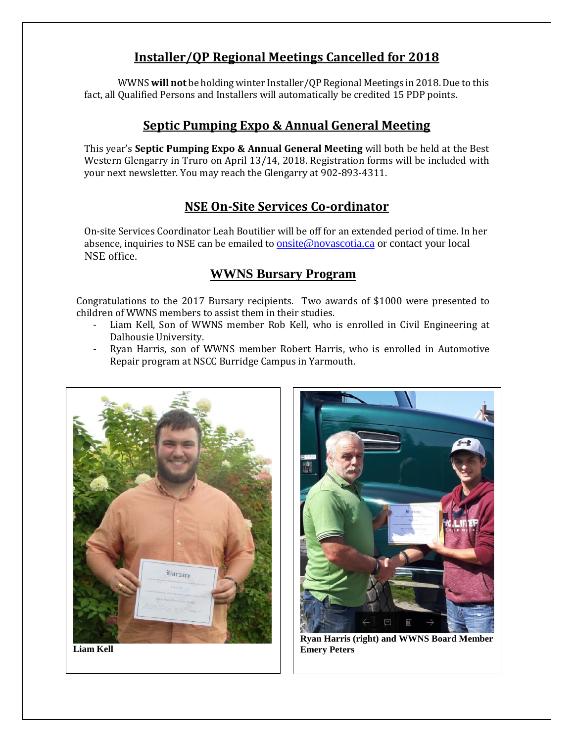# **Installer/QP Regional Meetings Cancelled for 2018**

WWNS **will not** be holding winter Installer/QP Regional Meetings in 2018. Due to this fact, all Qualified Persons and Installers will automatically be credited 15 PDP points.

# **Septic Pumping Expo & Annual General Meeting**

This year's **Septic Pumping Expo & Annual General Meeting** will both be held at the Best Western Glengarry in Truro on April 13/14, 2018. Registration forms will be included with your next newsletter. You may reach the Glengarry at 902-893-4311.

# **NSE On-Site Services Co-ordinator**

On-site Services Coordinator Leah Boutilier will be off for an extended period of time. In her absence, inquiries to NSE can be emailed to [onsite@novascotia.ca](mailto:onsite@novascotia.ca) or contact your local NSE office.

# **WWNS Bursary Program**

 Congratulations to the 2017 Bursary recipients. Two awards of \$1000 were presented to children of WWNS members to assist them in their studies.

- Liam Kell, Son of WWNS member Rob Kell, who is enrolled in Civil Engineering at Dalhousie University.
- Ryan Harris, son of WWNS member Robert Harris, who is enrolled in Automotive Repair program at NSCC Burridge Campus in Yarmouth.





**Ryan Harris (right) and WWNS Board Member Emery Peters**

**Liam Kell**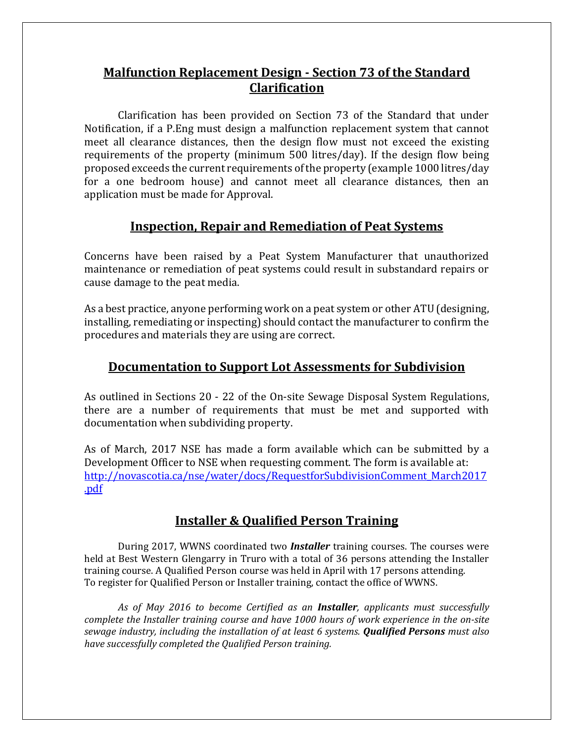## **Malfunction Replacement Design - Section 73 of the Standard Clarification**

Clarification has been provided on Section 73 of the Standard that under Notification, if a P.Eng must design a malfunction replacement system that cannot meet all clearance distances, then the design flow must not exceed the existing requirements of the property (minimum 500 litres/day). If the design flow being proposed exceeds the current requirements of the property (example 1000 litres/day for a one bedroom house) and cannot meet all clearance distances, then an application must be made for Approval.

## **Inspection, Repair and Remediation of Peat Systems**

Concerns have been raised by a Peat System Manufacturer that unauthorized maintenance or remediation of peat systems could result in substandard repairs or cause damage to the peat media.

As a best practice, anyone performing work on a peat system or other ATU (designing, installing, remediating or inspecting) should contact the manufacturer to confirm the procedures and materials they are using are correct.

## **Documentation to Support Lot Assessments for Subdivision**

As outlined in Sections 20 - 22 of the On-site Sewage Disposal System Regulations, there are a number of requirements that must be met and supported with documentation when subdividing property.

As of March, 2017 NSE has made a form available which can be submitted by a Development Officer to NSE when requesting comment. The form is available at: [http://novascotia.ca/nse/water/docs/RequestforSubdivisionComment\\_March2017](http://novascotia.ca/nse/water/docs/RequestforSubdivisionComment_March2017.pdf) [.pdf](http://novascotia.ca/nse/water/docs/RequestforSubdivisionComment_March2017.pdf)

# **Installer & Qualified Person Training**

During 2017, WWNS coordinated two *Installer* training courses. The courses were held at Best Western Glengarry in Truro with a total of 36 persons attending the Installer training course. A Qualified Person course was held in April with 17 persons attending. To register for Qualified Person or Installer training, contact the office of WWNS.

*As of May 2016 to become Certified as an Installer, applicants must successfully complete the Installer training course and have 1000 hours of work experience in the on-site sewage industry, including the installation of at least 6 systems. Qualified Persons must also have successfully completed the Qualified Person training.*